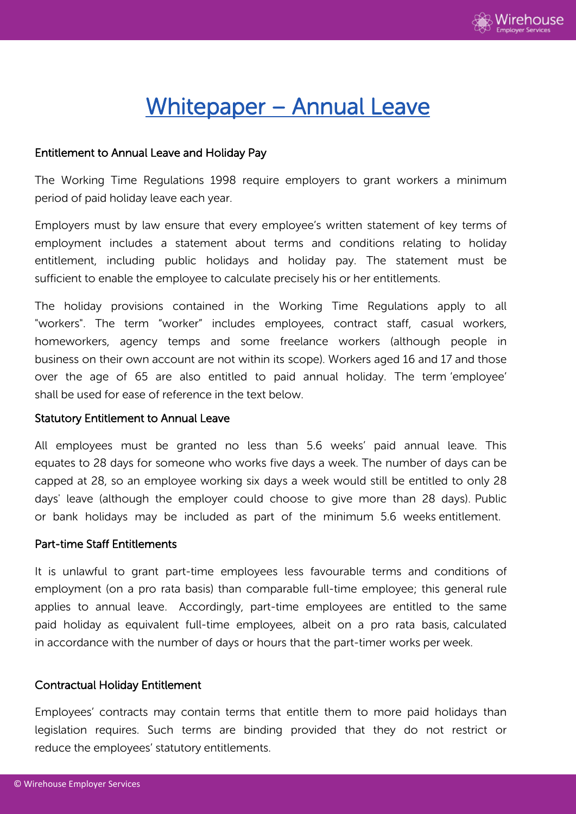

# Whitepaper – Annual Leave

# Entitlement to Annual Leave and Holiday Pay

The Working Time Regulations 1998 require employers to grant workers a minimum period of paid holiday leave each year.

Employers must by law ensure that every employee's written statement of key terms of employment includes a statement about terms and conditions relating to holiday entitlement, including public holidays and holiday pay. The statement must be sufficient to enable the employee to calculate precisely his or her entitlements.

The holiday provisions contained in the Working Time Regulations apply to all "workers". The term "worker" includes employees, contract staff, casual workers, homeworkers, agency temps and some freelance workers (although people in business on their own account are not within its scope). Workers aged 16 and 17 and those over the age of 65 are also entitled to paid annual holiday. The term 'employee' shall be used for ease of reference in the text below.

# Statutory Entitlement to Annual Leave

All employees must be granted no less than 5.6 weeks' paid annual leave. This equates to 28 days for someone who works five days a week. The number of days can be capped at 28, so an employee working six days a week would still be entitled to only 28 days' leave (although the employer could choose to give more than 28 days). Public or bank holidays may be included as part of the minimum 5.6 weeks entitlement.

# Part-time Staff Entitlements

It is unlawful to grant part-time employees less favourable terms and conditions of employment (on a pro rata basis) than comparable full-time employee; this general rule applies to annual leave. Accordingly, part-time employees are entitled to the same paid holiday as equivalent full-time employees, albeit on a pro rata basis, calculated in accordance with the number of days or hours that the part-timer works per week.

# Contractual Holiday Entitlement

Employees' contracts may contain terms that entitle them to more paid holidays than legislation requires. Such terms are binding provided that they do not restrict or reduce the employees' statutory entitlements.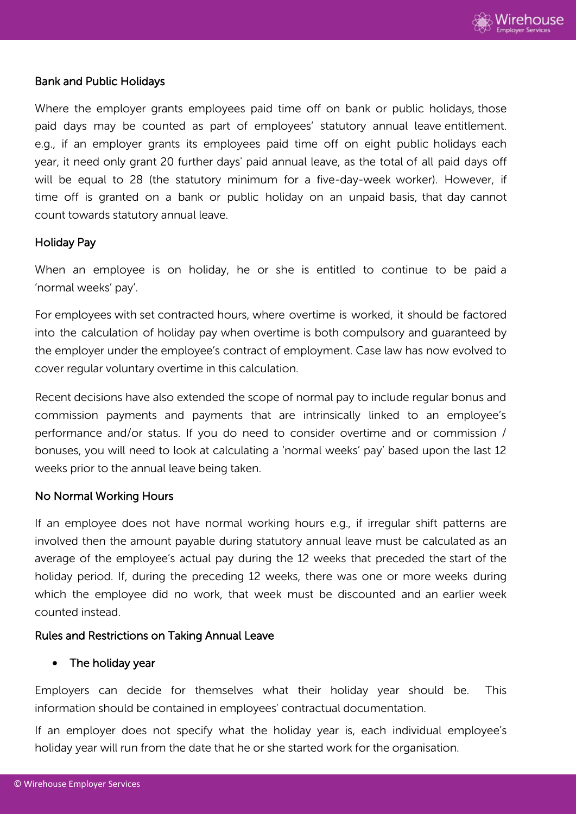

# Bank and Public Holidays

Where the employer grants employees paid time off on bank or public holidays, those paid days may be counted as part of employees' statutory annual leave entitlement. e.g., if an employer grants its employees paid time off on eight public holidays each year, it need only grant 20 further days' paid annual leave, as the total of all paid days off will be equal to 28 (the statutory minimum for a five-day-week worker). However, if time off is granted on a bank or public holiday on an unpaid basis, that day cannot count towards statutory annual leave.

#### Holiday Pay

When an employee is on holiday, he or she is entitled to continue to be paid a 'normal weeks' pay'.

For employees with set contracted hours, where overtime is worked, it should be factored into the calculation of holiday pay when overtime is both compulsory and guaranteed by the employer under the employee's contract of employment. Case law has now evolved to cover regular voluntary overtime in this calculation.

Recent decisions have also extended the scope of normal pay to include regular bonus and commission payments and payments that are intrinsically linked to an employee's performance and/or status. If you do need to consider overtime and or commission / bonuses, you will need to look at calculating a 'normal weeks' pay' based upon the last 12 weeks prior to the annual leave being taken.

# No Normal Working Hours

If an employee does not have normal working hours e.g., if irregular shift patterns are involved then the amount payable during statutory annual leave must be calculated as an average of the employee's actual pay during the 12 weeks that preceded the start of the holiday period. If, during the preceding 12 weeks, there was one or more weeks during which the employee did no work, that week must be discounted and an earlier week counted instead.

#### Rules and Restrictions on Taking Annual Leave

#### • The holiday year

Employers can decide for themselves what their holiday year should be. This information should be contained in employees' contractual documentation.

If an employer does not specify what the holiday year is, each individual employee's holiday year will run from the date that he or she started work for the organisation.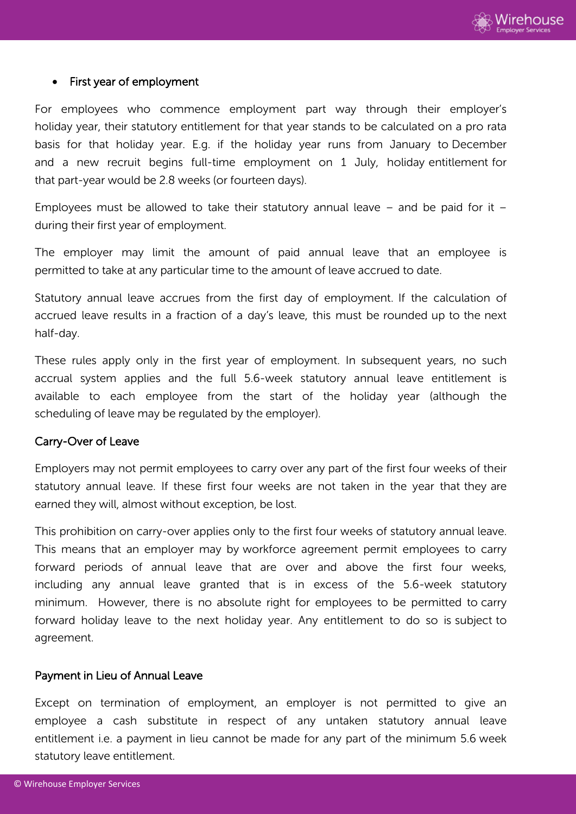

#### First year of employment

For employees who commence employment part way through their employer's holiday year, their statutory entitlement for that year stands to be calculated on a pro rata basis for that holiday year. E.g. if the holiday year runs from January to December and a new recruit begins full-time employment on 1 July, holiday entitlement for that part-year would be 2.8 weeks (or fourteen days).

Employees must be allowed to take their statutory annual leave  $-$  and be paid for it  $$ during their first year of employment.

The employer may limit the amount of paid annual leave that an employee is permitted to take at any particular time to the amount of leave accrued to date.

Statutory annual leave accrues from the first day of employment. If the calculation of accrued leave results in a fraction of a day's leave, this must be rounded up to the next half-day.

These rules apply only in the first year of employment. In subsequent years, no such accrual system applies and the full 5.6-week statutory annual leave entitlement is available to each employee from the start of the holiday year (although the scheduling of leave may be regulated by the employer).

# Carry-Over of Leave

Employers may not permit employees to carry over any part of the first four weeks of their statutory annual leave. If these first four weeks are not taken in the year that they are earned they will, almost without exception, be lost.

This prohibition on carry-over applies only to the first four weeks of statutory annual leave. This means that an employer may by workforce agreement permit employees to carry forward periods of annual leave that are over and above the first four weeks, including any annual leave granted that is in excess of the 5.6-week statutory minimum. However, there is no absolute right for employees to be permitted to carry forward holiday leave to the next holiday year. Any entitlement to do so is subject to agreement.

#### Payment in Lieu of Annual Leave

Except on termination of employment, an employer is not permitted to give an employee a cash substitute in respect of any untaken statutory annual leave entitlement i.e. a payment in lieu cannot be made for any part of the minimum 5.6 week statutory leave entitlement.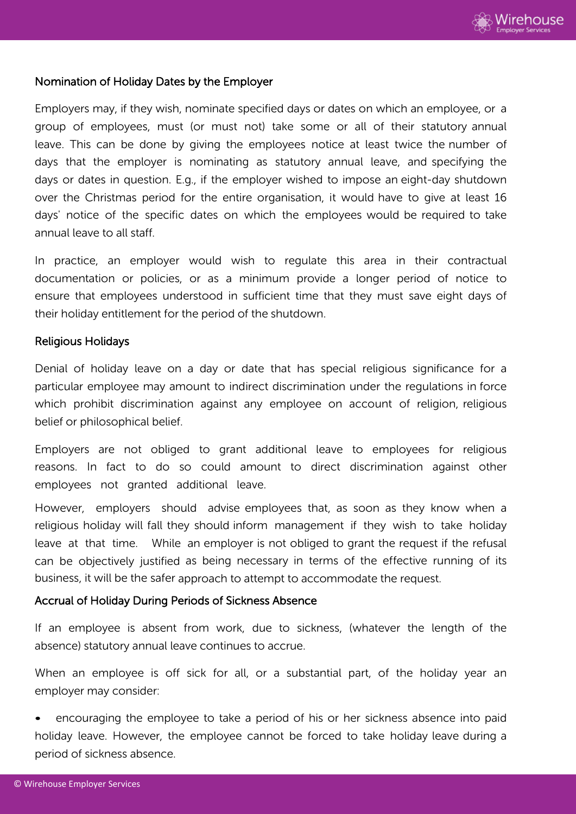

# Nomination of Holiday Dates by the Employer

Employers may, if they wish, nominate specified days or dates on which an employee, or a group of employees, must (or must not) take some or all of their statutory annual leave. This can be done by giving the employees notice at least twice the number of days that the employer is nominating as statutory annual leave, and specifying the days or dates in question. E.g., if the employer wished to impose an eight-day shutdown over the Christmas period for the entire organisation, it would have to give at least 16 days' notice of the specific dates on which the employees would be required to take annual leave to all staff.

In practice, an employer would wish to regulate this area in their contractual documentation or policies, or as a minimum provide a longer period of notice to ensure that employees understood in sufficient time that they must save eight days of their holiday entitlement for the period of the shutdown.

#### Religious Holidays

Denial of holiday leave on a day or date that has special religious significance for a particular employee may amount to indirect discrimination under the regulations in force which prohibit discrimination against any employee on account of religion, religious belief or philosophical belief.

Employers are not obliged to grant additional leave to employees for religious reasons. In fact to do so could amount to direct discrimination against other employees not granted additional leave.

However, employers should advise employees that, as soon as they know when a religious holiday will fall they should inform management if they wish to take holiday leave at that time. While an employer is not obliged to grant the request if the refusal can be objectively justified as being necessary in terms of the effective running of its business, it will be the safer approach to attempt to accommodate the request.

# Accrual of Holiday During Periods of Sickness Absence

If an employee is absent from work, due to sickness, (whatever the length of the absence) statutory annual leave continues to accrue.

When an employee is off sick for all, or a substantial part, of the holiday year an employer may consider:

• encouraging the employee to take a period of his or her sickness absence into paid holiday leave. However, the employee cannot be forced to take holiday leave during a period of sickness absence.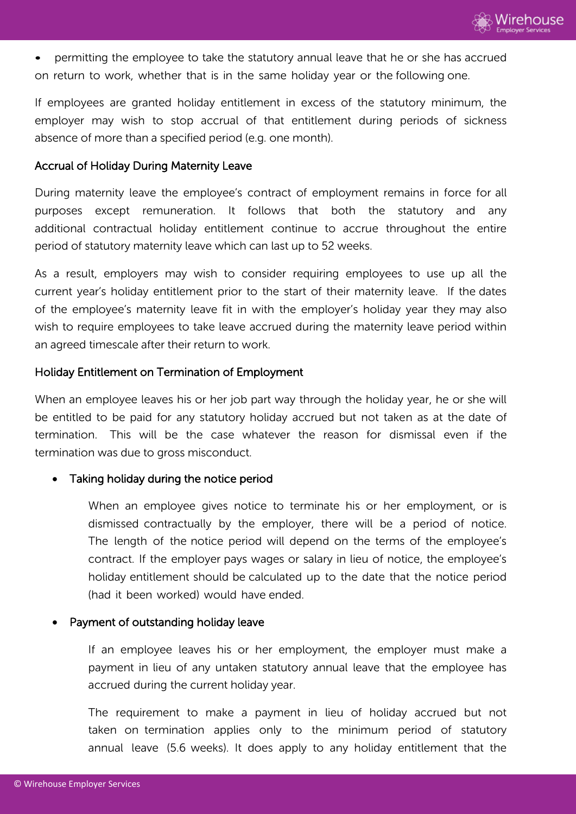• permitting the employee to take the statutory annual leave that he or she has accrued on return to work, whether that is in the same holiday year or the following one.

If employees are granted holiday entitlement in excess of the statutory minimum, the employer may wish to stop accrual of that entitlement during periods of sickness absence of more than a specified period (e.g. one month).

# Accrual of Holiday During Maternity Leave

During maternity leave the employee's contract of employment remains in force for all purposes except remuneration. It follows that both the statutory and any additional contractual holiday entitlement continue to accrue throughout the entire period of statutory maternity leave which can last up to 52 weeks.

As a result, employers may wish to consider requiring employees to use up all the current year's holiday entitlement prior to the start of their maternity leave. If the dates of the employee's maternity leave fit in with the employer's holiday year they may also wish to require employees to take leave accrued during the maternity leave period within an agreed timescale after their return to work.

# Holiday Entitlement on Termination of Employment

When an employee leaves his or her job part way through the holiday year, he or she will be entitled to be paid for any statutory holiday accrued but not taken as at the date of termination. This will be the case whatever the reason for dismissal even if the termination was due to gross misconduct.

# Taking holiday during the notice period

When an employee gives notice to terminate his or her employment, or is dismissed contractually by the employer, there will be a period of notice. The length of the notice period will depend on the terms of the employee's contract. If the employer pays wages or salary in lieu of notice, the employee's holiday entitlement should be calculated up to the date that the notice period (had it been worked) would have ended.

# Payment of outstanding holiday leave

If an employee leaves his or her employment, the employer must make a payment in lieu of any untaken statutory annual leave that the employee has accrued during the current holiday year.

The requirement to make a payment in lieu of holiday accrued but not taken on termination applies only to the minimum period of statutory annual leave (5.6 weeks). It does apply to any holiday entitlement that the